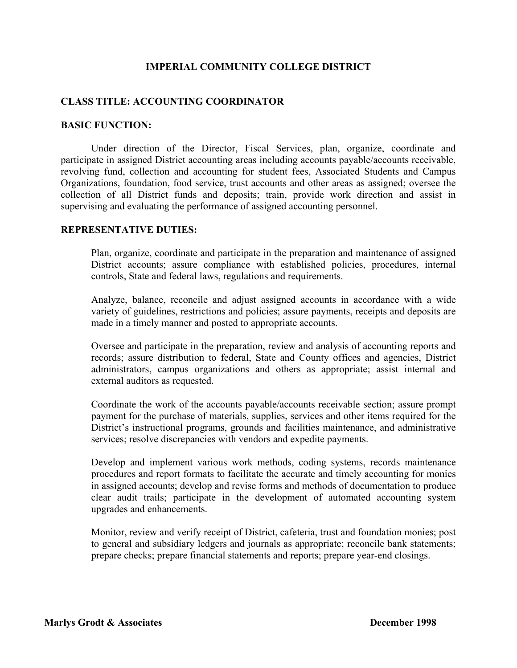## **IMPERIAL COMMUNITY COLLEGE DISTRICT**

## **CLASS TITLE: ACCOUNTING COORDINATOR**

#### **BASIC FUNCTION:**

Under direction of the Director, Fiscal Services, plan, organize, coordinate and participate in assigned District accounting areas including accounts payable/accounts receivable, revolving fund, collection and accounting for student fees, Associated Students and Campus Organizations, foundation, food service, trust accounts and other areas as assigned; oversee the collection of all District funds and deposits; train, provide work direction and assist in supervising and evaluating the performance of assigned accounting personnel.

## **REPRESENTATIVE DUTIES:**

Plan, organize, coordinate and participate in the preparation and maintenance of assigned District accounts; assure compliance with established policies, procedures, internal controls, State and federal laws, regulations and requirements.

Analyze, balance, reconcile and adjust assigned accounts in accordance with a wide variety of guidelines, restrictions and policies; assure payments, receipts and deposits are made in a timely manner and posted to appropriate accounts.

Oversee and participate in the preparation, review and analysis of accounting reports and records; assure distribution to federal, State and County offices and agencies, District administrators, campus organizations and others as appropriate; assist internal and external auditors as requested.

Coordinate the work of the accounts payable/accounts receivable section; assure prompt payment for the purchase of materials, supplies, services and other items required for the District's instructional programs, grounds and facilities maintenance, and administrative services; resolve discrepancies with vendors and expedite payments.

Develop and implement various work methods, coding systems, records maintenance procedures and report formats to facilitate the accurate and timely accounting for monies in assigned accounts; develop and revise forms and methods of documentation to produce clear audit trails; participate in the development of automated accounting system upgrades and enhancements.

Monitor, review and verify receipt of District, cafeteria, trust and foundation monies; post to general and subsidiary ledgers and journals as appropriate; reconcile bank statements; prepare checks; prepare financial statements and reports; prepare year-end closings.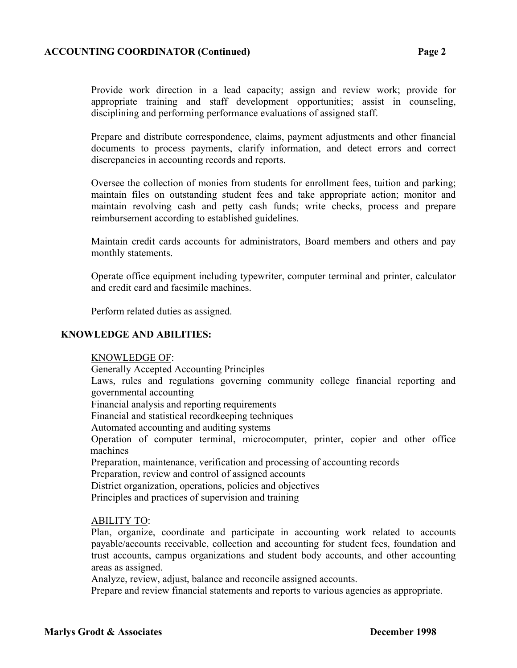## **ACCOUNTING COORDINATOR (Continued) Page 2**

Provide work direction in a lead capacity; assign and review work; provide for appropriate training and staff development opportunities; assist in counseling, disciplining and performing performance evaluations of assigned staff.

Prepare and distribute correspondence, claims, payment adjustments and other financial documents to process payments, clarify information, and detect errors and correct discrepancies in accounting records and reports.

Oversee the collection of monies from students for enrollment fees, tuition and parking; maintain files on outstanding student fees and take appropriate action; monitor and maintain revolving cash and petty cash funds; write checks, process and prepare reimbursement according to established guidelines.

Maintain credit cards accounts for administrators, Board members and others and pay monthly statements.

Operate office equipment including typewriter, computer terminal and printer, calculator and credit card and facsimile machines.

Perform related duties as assigned.

## **KNOWLEDGE AND ABILITIES:**

#### KNOWLEDGE OF:

 Generally Accepted Accounting Principles Laws, rules and regulations governing community college financial reporting and governmental accounting Financial analysis and reporting requirements Financial and statistical recordkeeping techniques Automated accounting and auditing systems Operation of computer terminal, microcomputer, printer, copier and other office machines Preparation, maintenance, verification and processing of accounting records Preparation, review and control of assigned accounts District organization, operations, policies and objectives Principles and practices of supervision and training

## ABILITY TO:

Plan, organize, coordinate and participate in accounting work related to accounts payable/accounts receivable, collection and accounting for student fees, foundation and trust accounts, campus organizations and student body accounts, and other accounting areas as assigned.

Analyze, review, adjust, balance and reconcile assigned accounts.

Prepare and review financial statements and reports to various agencies as appropriate.